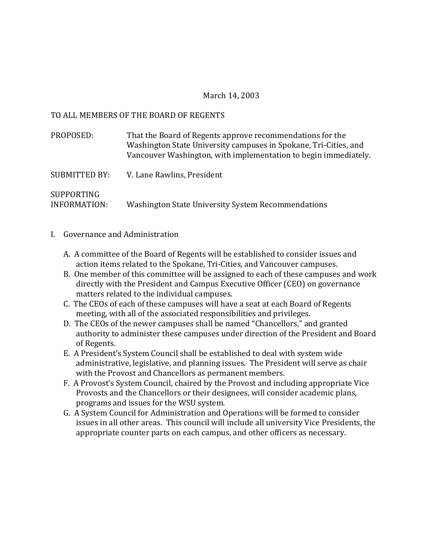### March 14, 2003

#### TO ALL MEMBERS OF THE BOARD OF REGENTS

| PROPOSED:         | That the Board of Regents approve recommendations for the<br>Washington State University campuses in Spokane, Tri-Cities, and<br>Vancouver Washington, with implementation to begin immediately. |
|-------------------|--------------------------------------------------------------------------------------------------------------------------------------------------------------------------------------------------|
| SUBMITTED BY:     | V. Lane Rawlins, President                                                                                                                                                                       |
| <b>SUPPORTING</b> |                                                                                                                                                                                                  |

# INFORMATION: Washington State University System Recommendations

### I. Governance and Administration

- A. A committee of the Board of Regents will be established to consider issues and action items related to the Spokane, Tri-Cities, and Vancouver campuses.
- B. One member of this committee will be assigned to each of these campuses and work directly with the President and Campus Executive Officer (CEO) on governance matters related to the individual campuses.
- C. The CEOs of each of these campuses will have a seat at each Board of Regents meeting, with all of the associated responsibilities and privileges.
- D. The CEOs of the newer campuses shall be named "Chancellors," and granted authority to administer these campuses under direction of the President and Board of Regents.
- E. A President's System Council shall be established to deal with system wide administrative, legislative, and planning issues. The President will serve as chair with the Provost and Chancellors as permanent members.
- F. A Provost's System Council, chaired by the Provost and including appropriate Vice Provosts and the Chancellors or their designees, will consider academic plans, programs and issues for the WSU system.
- G. A System Council for Administration and Operations will be formed to consider issues in all other areas. This council will include all university Vice Presidents, the appropriate counter parts on each campus, and other officers as necessary.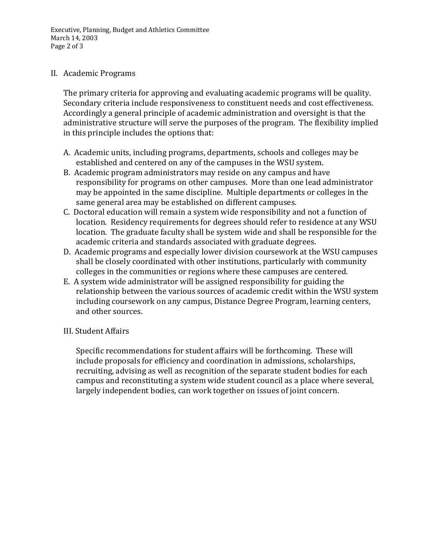Executive, Planning, Budget and Athletics Committee March 14, 2003 Page 2 of 3

### II. Academic Programs

The primary criteria for approving and evaluating academic programs will be quality. Secondary criteria include responsiveness to constituent needs and cost effectiveness. Accordingly a general principle of academic administration and oversight is that the administrative structure will serve the purposes of the program. The flexibility implied in this principle includes the options that:

- A. Academic units, including programs, departments, schools and colleges may be established and centered on any of the campuses in the WSU system.
- B. Academic program administrators may reside on any campus and have responsibility for programs on other campuses. More than one lead administrator may be appointed in the same discipline. Multiple departments or colleges in the same general area may be established on different campuses.
- C. Doctoral education will remain a system wide responsibility and not a function of location. Residency requirements for degrees should refer to residence at any WSU location. The graduate faculty shall be system wide and shall be responsible for the academic criteria and standards associated with graduate degrees.
- D. Academic programs and especially lower division coursework at the WSU campuses shall be closely coordinated with other institutions, particularly with community colleges in the communities or regions where these campuses are centered.
- E. A system wide administrator will be assigned responsibility for guiding the relationship between the various sources of academic credit within the WSU system including coursework on any campus, Distance Degree Program, learning centers, and other sources.

## III. Student Affairs

Specific recommendations for student affairs will be forthcoming. These will include proposals for efficiency and coordination in admissions, scholarships, recruiting, advising as well as recognition of the separate student bodies for each campus and reconstituting a system wide student council as a place where several, largely independent bodies, can work together on issues of joint concern.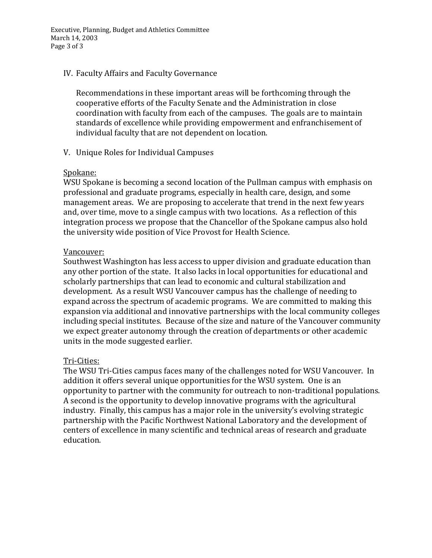Executive, Planning, Budget and Athletics Committee March 14, 2003 Page 3 of 3

### IV. Faculty Affairs and Faculty Governance

Recommendations in these important areas will be forthcoming through the cooperative efforts of the Faculty Senate and the Administration in close coordination with faculty from each of the campuses. The goals are to maintain standards of excellence while providing empowerment and enfranchisement of individual faculty that are not dependent on location.

### V. Unique Roles for Individual Campuses

### Spokane:

WSU Spokane is becoming a second location of the Pullman campus with emphasis on professional and graduate programs, especially in health care, design, and some management areas. We are proposing to accelerate that trend in the next few years and, over time, move to a single campus with two locations. As a reflection of this integration process we propose that the Chancellor of the Spokane campus also hold the university wide position of Vice Provost for Health Science.

### Vancouver:

Southwest Washington has less access to upper division and graduate education than any other portion of the state. It also lacks in local opportunities for educational and scholarly partnerships that can lead to economic and cultural stabilization and development. As a result WSU Vancouver campus has the challenge of needing to expand across the spectrum of academic programs. We are committed to making this expansion via additional and innovative partnerships with the local community colleges including special institutes. Because of the size and nature of the Vancouver community we expect greater autonomy through the creation of departments or other academic units in the mode suggested earlier.

### Tri-Cities:

The WSU Tri-Cities campus faces many of the challenges noted for WSU Vancouver. In addition it offers several unique opportunities for the WSU system. One is an opportunity to partner with the community for outreach to non-traditional populations. A second is the opportunity to develop innovative programs with the agricultural industry. Finally, this campus has a major role in the university's evolving strategic partnership with the Pacific Northwest National Laboratory and the development of centers of excellence in many scientific and technical areas of research and graduate education.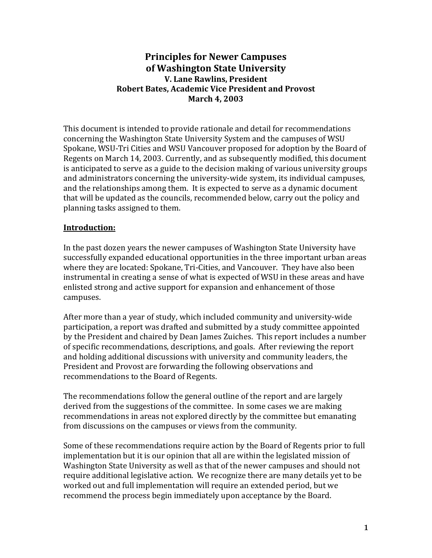## **Principles for Newer Campuses of Washington State University V. Lane Rawlins, President Robert Bates, Academic Vice President and Provost March 4, 2003**

This document is intended to provide rationale and detail for recommendations concerning the Washington State University System and the campuses of WSU Spokane, WSU-Tri Cities and WSU Vancouver proposed for adoption by the Board of Regents on March 14, 2003. Currently, and as subsequently modified, this document is anticipated to serve as a guide to the decision making of various university groups and administrators concerning the university-wide system, its individual campuses, and the relationships among them. It is expected to serve as a dynamic document that will be updated as the councils, recommended below, carry out the policy and planning tasks assigned to them.

## **Introduction:**

In the past dozen years the newer campuses of Washington State University have successfully expanded educational opportunities in the three important urban areas where they are located: Spokane, Tri-Cities, and Vancouver. They have also been instrumental in creating a sense of what is expected of WSU in these areas and have enlisted strong and active support for expansion and enhancement of those campuses.

After more than a year of study, which included community and university-wide participation, a report was drafted and submitted by a study committee appointed by the President and chaired by Dean James Zuiches. This report includes a number of specific recommendations, descriptions, and goals. After reviewing the report and holding additional discussions with university and community leaders, the President and Provost are forwarding the following observations and recommendations to the Board of Regents.

The recommendations follow the general outline of the report and are largely derived from the suggestions of the committee. In some cases we are making recommendations in areas not explored directly by the committee but emanating from discussions on the campuses or views from the community.

Some of these recommendations require action by the Board of Regents prior to full implementation but it is our opinion that all are within the legislated mission of Washington State University as well as that of the newer campuses and should not require additional legislative action. We recognize there are many details yet to be worked out and full implementation will require an extended period, but we recommend the process begin immediately upon acceptance by the Board.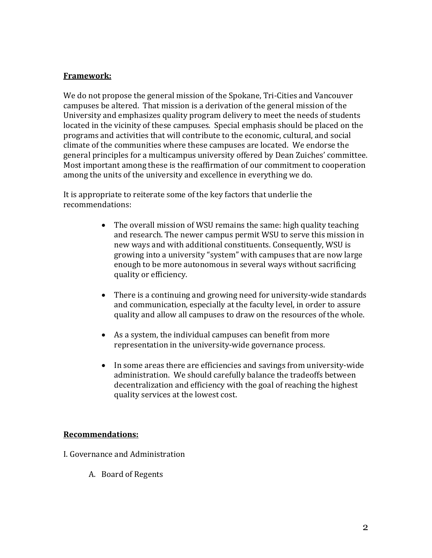## **Framework:**

We do not propose the general mission of the Spokane, Tri-Cities and Vancouver campuses be altered. That mission is a derivation of the general mission of the University and emphasizes quality program delivery to meet the needs of students located in the vicinity of these campuses. Special emphasis should be placed on the programs and activities that will contribute to the economic, cultural, and social climate of the communities where these campuses are located. We endorse the general principles for a multicampus university offered by Dean Zuiches' committee. Most important among these is the reaffirmation of our commitment to cooperation among the units of the university and excellence in everything we do.

It is appropriate to reiterate some of the key factors that underlie the recommendations:

- The overall mission of WSU remains the same: high quality teaching and research. The newer campus permit WSU to serve this mission in new ways and with additional constituents. Consequently, WSU is growing into a university "system" with campuses that are now large enough to be more autonomous in several ways without sacrificing quality or efficiency.
- There is a continuing and growing need for university-wide standards and communication, especially at the faculty level, in order to assure quality and allow all campuses to draw on the resources of the whole.
- As a system, the individual campuses can benefit from more representation in the university-wide governance process.
- In some areas there are efficiencies and savings from university-wide administration. We should carefully balance the tradeoffs between decentralization and efficiency with the goal of reaching the highest quality services at the lowest cost.

## **Recommendations:**

I. Governance and Administration

A. Board of Regents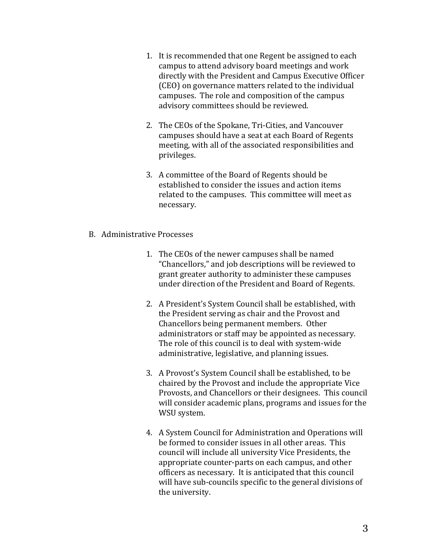- 1. It is recommended that one Regent be assigned to each campus to attend advisory board meetings and work directly with the President and Campus Executive Officer (CEO) on governance matters related to the individual campuses. The role and composition of the campus advisory committees should be reviewed.
- 2. The CEOs of the Spokane, Tri-Cities, and Vancouver campuses should have a seat at each Board of Regents meeting, with all of the associated responsibilities and privileges.
- 3. A committee of the Board of Regents should be established to consider the issues and action items related to the campuses. This committee will meet as necessary.
- B. Administrative Processes
	- 1. The CEOs of the newer campuses shall be named "Chancellors," and job descriptions will be reviewed to grant greater authority to administer these campuses under direction of the President and Board of Regents.
	- 2. A President's System Council shall be established, with the President serving as chair and the Provost and Chancellors being permanent members. Other administrators or staff may be appointed as necessary. The role of this council is to deal with system-wide administrative, legislative, and planning issues.
	- 3. A Provost's System Council shall be established, to be chaired by the Provost and include the appropriate Vice Provosts, and Chancellors or their designees. This council will consider academic plans, programs and issues for the WSU system.
	- 4. A System Council for Administration and Operations will be formed to consider issues in all other areas. This council will include all university Vice Presidents, the appropriate counter-parts on each campus, and other officers as necessary. It is anticipated that this council will have sub-councils specific to the general divisions of the university.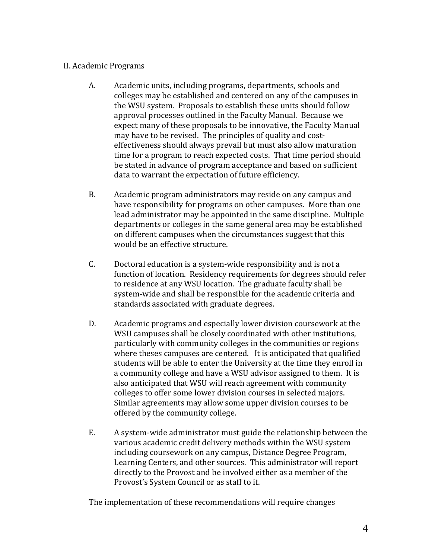## II. Academic Programs

- A. Academic units, including programs, departments, schools and colleges may be established and centered on any of the campuses in the WSU system. Proposals to establish these units should follow approval processes outlined in the Faculty Manual. Because we expect many of these proposals to be innovative, the Faculty Manual may have to be revised. The principles of quality and costeffectiveness should always prevail but must also allow maturation time for a program to reach expected costs. That time period should be stated in advance of program acceptance and based on sufficient data to warrant the expectation of future efficiency.
- B. Academic program administrators may reside on any campus and have responsibility for programs on other campuses. More than one lead administrator may be appointed in the same discipline. Multiple departments or colleges in the same general area may be established on different campuses when the circumstances suggest that this would be an effective structure.
- C. Doctoral education is a system-wide responsibility and is not a function of location. Residency requirements for degrees should refer to residence at any WSU location. The graduate faculty shall be system-wide and shall be responsible for the academic criteria and standards associated with graduate degrees.
- D. Academic programs and especially lower division coursework at the WSU campuses shall be closely coordinated with other institutions, particularly with community colleges in the communities or regions where theses campuses are centered. It is anticipated that qualified students will be able to enter the University at the time they enroll in a community college and have a WSU advisor assigned to them. It is also anticipated that WSU will reach agreement with community colleges to offer some lower division courses in selected majors. Similar agreements may allow some upper division courses to be offered by the community college.
- E. A system-wide administrator must guide the relationship between the various academic credit delivery methods within the WSU system including coursework on any campus, Distance Degree Program, Learning Centers, and other sources. This administrator will report directly to the Provost and be involved either as a member of the Provost's System Council or as staff to it.

The implementation of these recommendations will require changes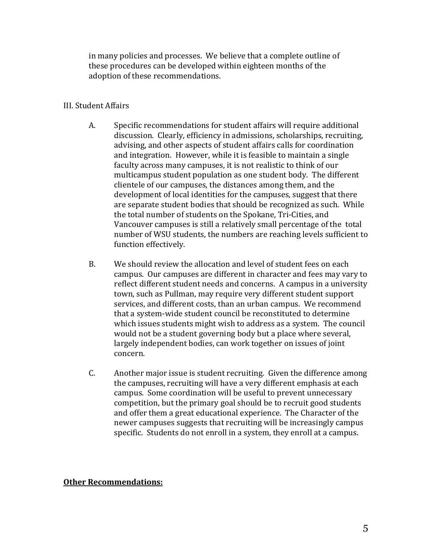in many policies and processes. We believe that a complete outline of these procedures can be developed within eighteen months of the adoption of these recommendations.

## III. Student Affairs

- A. Specific recommendations for student affairs will require additional discussion. Clearly, efficiency in admissions, scholarships, recruiting, advising, and other aspects of student affairs calls for coordination and integration. However, while it is feasible to maintain a single faculty across many campuses, it is not realistic to think of our multicampus student population as one student body. The different clientele of our campuses, the distances among them, and the development of local identities for the campuses, suggest that there are separate student bodies that should be recognized as such. While the total number of students on the Spokane, Tri-Cities, and Vancouver campuses is still a relatively small percentage of the total number of WSU students, the numbers are reaching levels sufficient to function effectively.
- B. We should review the allocation and level of student fees on each campus. Our campuses are different in character and fees may vary to reflect different student needs and concerns. A campus in a university town, such as Pullman, may require very different student support services, and different costs, than an urban campus. We recommend that a system-wide student council be reconstituted to determine which issues students might wish to address as a system. The council would not be a student governing body but a place where several, largely independent bodies, can work together on issues of joint concern.
- C. Another major issue is student recruiting. Given the difference among the campuses, recruiting will have a very different emphasis at each campus. Some coordination will be useful to prevent unnecessary competition, but the primary goal should be to recruit good students and offer them a great educational experience. The Character of the newer campuses suggests that recruiting will be increasingly campus specific. Students do not enroll in a system, they enroll at a campus.

## **Other Recommendations:**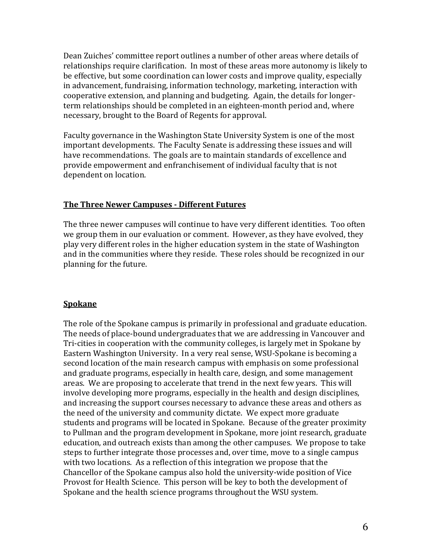Dean Zuiches' committee report outlines a number of other areas where details of relationships require clarification. In most of these areas more autonomy is likely to be effective, but some coordination can lower costs and improve quality, especially in advancement, fundraising, information technology, marketing, interaction with cooperative extension, and planning and budgeting. Again, the details for longerterm relationships should be completed in an eighteen-month period and, where necessary, brought to the Board of Regents for approval.

Faculty governance in the Washington State University System is one of the most important developments. The Faculty Senate is addressing these issues and will have recommendations. The goals are to maintain standards of excellence and provide empowerment and enfranchisement of individual faculty that is not dependent on location.

### **The Three Newer Campuses - Different Futures**

The three newer campuses will continue to have very different identities. Too often we group them in our evaluation or comment. However, as they have evolved, they play very different roles in the higher education system in the state of Washington and in the communities where they reside. These roles should be recognized in our planning for the future.

## **Spokane**

The role of the Spokane campus is primarily in professional and graduate education. The needs of place-bound undergraduates that we are addressing in Vancouver and Tri-cities in cooperation with the community colleges, is largely met in Spokane by Eastern Washington University. In a very real sense, WSU-Spokane is becoming a second location of the main research campus with emphasis on some professional and graduate programs, especially in health care, design, and some management areas. We are proposing to accelerate that trend in the next few years. This will involve developing more programs, especially in the health and design disciplines, and increasing the support courses necessary to advance these areas and others as the need of the university and community dictate. We expect more graduate students and programs will be located in Spokane. Because of the greater proximity to Pullman and the program development in Spokane, more joint research, graduate education, and outreach exists than among the other campuses. We propose to take steps to further integrate those processes and, over time, move to a single campus with two locations. As a reflection of this integration we propose that the Chancellor of the Spokane campus also hold the university-wide position of Vice Provost for Health Science. This person will be key to both the development of Spokane and the health science programs throughout the WSU system.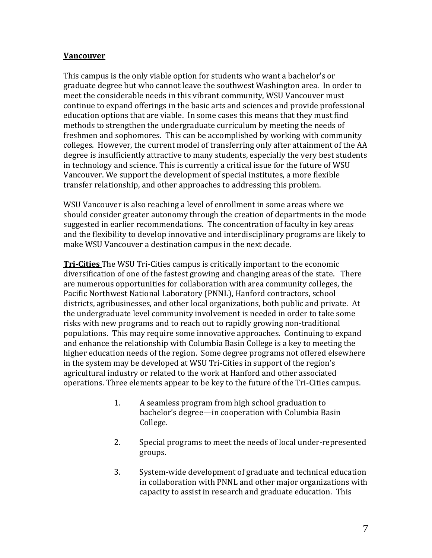### **Vancouver**

This campus is the only viable option for students who want a bachelor's or graduate degree but who cannot leave the southwest Washington area. In order to meet the considerable needs in this vibrant community, WSU Vancouver must continue to expand offerings in the basic arts and sciences and provide professional education options that are viable. In some cases this means that they must find methods to strengthen the undergraduate curriculum by meeting the needs of freshmen and sophomores. This can be accomplished by working with community colleges. However, the current model of transferring only after attainment of the AA degree is insufficiently attractive to many students, especially the very best students in technology and science. This is currently a critical issue for the future of WSU Vancouver. We support the development of special institutes, a more flexible transfer relationship, and other approaches to addressing this problem.

WSU Vancouver is also reaching a level of enrollment in some areas where we should consider greater autonomy through the creation of departments in the mode suggested in earlier recommendations. The concentration of faculty in key areas and the flexibility to develop innovative and interdisciplinary programs are likely to make WSU Vancouver a destination campus in the next decade.

**Tri-Cities** The WSU Tri-Cities campus is critically important to the economic diversification of one of the fastest growing and changing areas of the state. There are numerous opportunities for collaboration with area community colleges, the Pacific Northwest National Laboratory (PNNL), Hanford contractors, school districts, agribusinesses, and other local organizations, both public and private. At the undergraduate level community involvement is needed in order to take some risks with new programs and to reach out to rapidly growing non-traditional populations. This may require some innovative approaches. Continuing to expand and enhance the relationship with Columbia Basin College is a key to meeting the higher education needs of the region. Some degree programs not offered elsewhere in the system may be developed at WSU Tri-Cities in support of the region's agricultural industry or related to the work at Hanford and other associated operations. Three elements appear to be key to the future of the Tri-Cities campus.

- 1. A seamless program from high school graduation to bachelor's degree—in cooperation with Columbia Basin College.
- 2. Special programs to meet the needs of local under-represented groups.
- 3. System-wide development of graduate and technical education in collaboration with PNNL and other major organizations with capacity to assist in research and graduate education. This